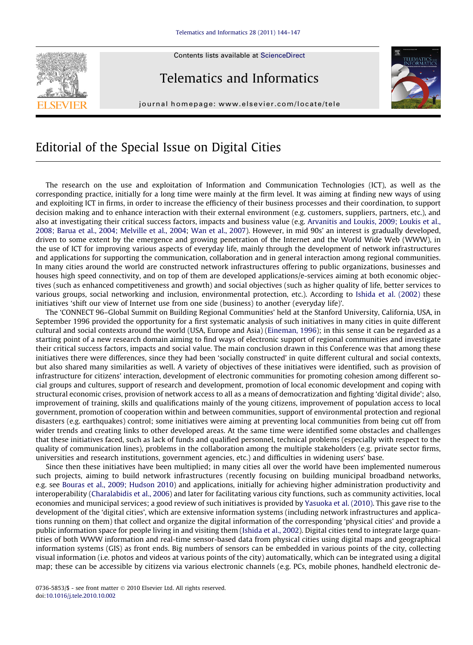Contents lists available at [ScienceDirect](http://www.sciencedirect.com/science/journal/07365853)

## Telematics and Informatics

journal homepage: [www.elsevier.com/locate/tele](http://www.elsevier.com/locate/tele)



## Editorial of the Special Issue on Digital Cities

The research on the use and exploitation of Information and Communication Technologies (ICT), as well as the corresponding practice, initially for a long time were mainly at the firm level. It was aiming at finding new ways of using and exploiting ICT in firms, in order to increase the efficiency of their business processes and their coordination, to support decision making and to enhance interaction with their external environment (e.g. customers, suppliers, partners, etc.), and also at investigating their critical success factors, impacts and business value (e.g. [Arvanitis and Loukis, 2009; Loukis et al.,](#page-2-0) [2008; Barua et al., 2004; Melville et al., 2004](#page-2-0); [Wan et al., 2007](#page-3-0)). However, in mid 90s' an interest is gradually developed, driven to some extent by the emergence and growing penetration of the Internet and the World Wide Web (WWW), in the use of ICT for improving various aspects of everyday life, mainly through the development of network infrastructures and applications for supporting the communication, collaboration and in general interaction among regional communities. In many cities around the world are constructed network infrastructures offering to public organizations, businesses and houses high speed connectivity, and on top of them are developed applications/e-services aiming at both economic objectives (such as enhanced competitiveness and growth) and social objectives (such as higher quality of life, better services to various groups, social networking and inclusion, environmental protection, etc.). According to [Ishida et al. \(2002\)](#page-3-0) these initiatives 'shift our view of Internet use from one side (business) to another (everyday life)'.

The 'CONNECT 96–Global Summit on Building Regional Communities' held at the Stanford University, California, USA, in September 1996 provided the opportunity for a first systematic analysis of such initiatives in many cities in quite different cultural and social contexts around the world (USA, Europe and Asia) [\(Eineman, 1996](#page-2-0)); in this sense it can be regarded as a starting point of a new research domain aiming to find ways of electronic support of regional communities and investigate their critical success factors, impacts and social value. The main conclusion drawn in this Conference was that among these initiatives there were differences, since they had been 'socially constructed' in quite different cultural and social contexts, but also shared many similarities as well. A variety of objectives of these initiatives were identified, such as provision of infrastructure for citizens' interaction, development of electronic communities for promoting cohesion among different social groups and cultures, support of research and development, promotion of local economic development and coping with structural economic crises, provision of network access to all as a means of democratization and fighting 'digital divide'; also, improvement of training, skills and qualifications mainly of the young citizens, improvement of population access to local government, promotion of cooperation within and between communities, support of environmental protection and regional disasters (e.g. earthquakes) control; some initiatives were aiming at preventing local communities from being cut off from wider trends and creating links to other developed areas. At the same time were identified some obstacles and challenges that these initiatives faced, such as lack of funds and qualified personnel, technical problems (especially with respect to the quality of communication lines), problems in the collaboration among the multiple stakeholders (e.g. private sector firms, universities and research institutions, government agencies, etc.) and difficulties in widening users' base.

Since then these initiatives have been multiplied; in many cities all over the world have been implemented numerous such projects, aiming to build network infrastructures (recently focusing on building municipal broadband networks, e.g. see [Bouras et al., 2009; Hudson 2010\)](#page-2-0) and applications, initially for achieving higher administration productivity and interoperability [\(Charalabidis et al., 2006](#page-3-0)) and later for facilitating various city functions, such as community activities, local economies and municipal services; a good review of such initiatives is provided by [Yasuoka et al. \(2010\)](#page-3-0). This gave rise to the development of the 'digital cities', which are extensive information systems (including network infrastructures and applications running on them) that collect and organize the digital information of the corresponding 'physical cities' and provide a public information space for people living in and visiting them [\(Ishida et al., 2002](#page-3-0)). Digital cities tend to integrate large quantities of both WWW information and real-time sensor-based data from physical cities using digital maps and geographical information systems (GIS) as front ends. Big numbers of sensors can be embedded in various points of the city, collecting visual information (i.e. photos and videos at various points of the city) automatically, which can be integrated using a digital map; these can be accessible by citizens via various electronic channels (e.g. PCs, mobile phones, handheld electronic de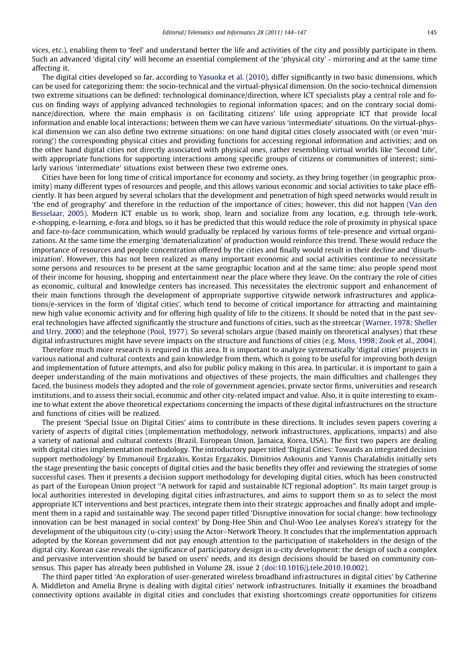vices, etc.), enabling them to 'feel' and understand better the life and activities of the city and possibly participate in them. Such an advanced 'digital city' will become an essential complement of the 'physical city' - mirroring and at the same time affecting it.

The digital cities developed so far, according to [Yasuoka et al. \(2010\)](#page-3-0), differ significantly in two basic dimensions, which can be used for categorizing them: the socio-technical and the virtual-physical dimension. On the socio-technical dimension two extreme situations can be defined: technological dominance/direction, where ICT specialists play a central role and focus on finding ways of applying advanced technologies to regional information spaces; and on the contrary social dominance/direction, where the main emphasis is on facilitating citizens' life using appropriate ICT that provide local information and enable local interactions; between them we can have various 'intermediate' situations. On the virtual-physical dimension we can also define two extreme situations: on one hand digital cities closely associated with (or even 'mirroring') the corresponding physical cities and providing functions for accessing regional information and activities; and on the other hand digital cities not directly associated with physical ones, rather resembling virtual worlds like 'Second Life', with appropriate functions for supporting interactions among specific groups of citizens or communities of interest; similarly various 'intermediate' situations exist between these two extreme ones.

Cities have been for long time of critical importance for economy and society, as they bring together (in geographic proximity) many different types of resources and people, and this allows various economic and social activities to take place efficiently. It has been argued by several scholars that the development and penetration of high speed networks would result in 'the end of geography' and therefore in the reduction of the importance of cities; however, this did not happen [\(Van den](#page-3-0) [Besselaar, 2005\)](#page-3-0). Modern ICT enable us to work, shop, learn and socialize from any location, e.g. through tele-work, e-shopping, e-learning, e-fora and blogs, so it has be predicted that this would reduce the role of proximity in physical space and face-to-face communication, which would gradually be replaced by various forms of tele-presence and virtual organizations. At the same time the emerging 'dematerialization' of production would reinforce this trend. These would reduce the importance of resources and people concentration offered by the cities and finally would result in their decline and 'disurbinization'. However, this has not been realized as many important economic and social activities continue to necessitate some persons and resources to be present at the same geographic location and at the same time; also people spend most of their income for housing, shopping and entertainment near the place where they leave. On the contrary the role of cities as economic, cultural and knowledge centers has increased. This necessitates the electronic support and enhancement of their main functions through the development of appropriate supportive citywide network infrastructures and applications/e-services in the form of 'digital cities', which tend to become of critical importance for attracting and maintaining new high value economic activity and for offering high quality of life to the citizens. It should be noted that in the past several technologies have affected significantly the structure and functions of cities, such as the streetcar ([Warner, 1978; Sheller](#page-3-0) [and Urry, 2000](#page-3-0)) and the telephone ([Pool, 1977\)](#page-3-0). So several scholars argue (based mainly on theoretical analyses) that these digital infrastructures might have severe impacts on the structure and functions of cities (e.g. [Moss, 1998; Zook et al., 2004](#page-3-0)).

Therefore much more research is required in this area. It is important to analyze systematically 'digital cities' projects in various national and cultural contexts and gain knowledge from them, which is going to be useful for improving both design and implementation of future attempts, and also for public policy making in this area. In particular, it is important to gain a deeper understanding of the main motivations and objectives of these projects, the main difficulties and challenges they faced, the business models they adopted and the role of government agencies, private sector firms, universities and research institutions, and to assess their social, economic and other city-related impact and value. Also, it is quite interesting to examine to what extent the above theoretical expectations concerning the impacts of these digital infrastructures on the structure and functions of cities will be realized.

The present 'Special Issue on Digital Cities' aims to contribute in these directions. It includes seven papers covering a variety of aspects of digital cities (implementation methodology, network infrastructures, applications, impacts) and also a variety of national and cultural contexts (Brazil, European Union, Jamaica, Korea, USA). The first two papers are dealing with digital cities implementation methodology. The introductory paper titled 'Digital Cities: Towards an integrated decision support methodology' by Emmanouil Ergazakis, Kostas Ergazakis, Dimitrios Askounis and Yannis Charalabidis initially sets the stage presenting the basic concepts of digital cities and the basic benefits they offer and reviewing the strategies of some successful cases. Then it presents a decision support methodology for developing digital cities, which has been constructed as part of the European Union project ''A network for rapid and sustainable ICT regional adoption''. Its main target group is local authorities interested in developing digital cities infrastructures, and aims to support them so as to select the most appropriate ICT interventions and best practices, integrate them into their strategic approaches and finally adopt and implement them in a rapid and sustainable way. The second paper titled 'Disruptive innovation for social change: how technology innovation can be best managed in social context' by Dong-Hee Shin and Chul-Woo Lee analyses Korea's strategy for the development of the ubiquitous city (u-city) using the Actor–Network Theory. It concludes that the implementation approach adopted by the Korean government did not pay enough attention to the participation of stakeholders in the design of the digital city. Korean case reveals the significance of participatory design in u-city development: the design of such a complex and pervasive intervention should be based on users' needs, and its design decisions should be based on community consensus. This paper has already been published in Volume 28, issue 2 ([doi:10.1016/j.tele.2010.10.002\)](http://dx.doi.org/10.1016/j.tele.2010.10.002).

The third paper titled 'An exploration of user-generated wireless broadband infrastructures in digital cities' by Catherine A. Middleton and Amelia Bryne is dealing with digital cities' network infrastructures. Initially it examines the broadband connectivity options available in digital cities and concludes that existing shortcomings create opportunities for citizens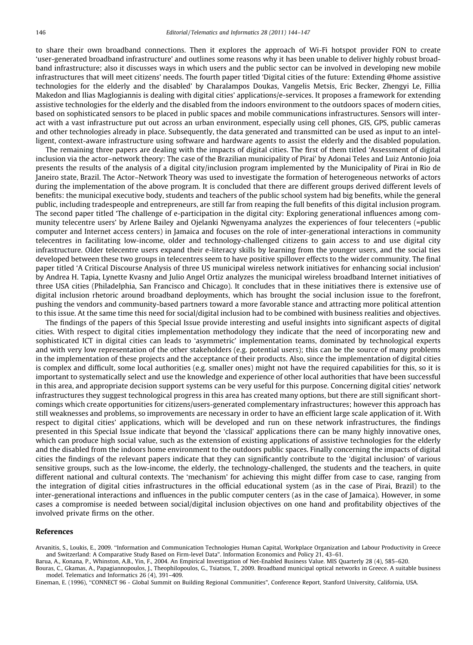<span id="page-2-0"></span>to share their own broadband connections. Then it explores the approach of Wi-Fi hotspot provider FON to create 'user-generated broadband infrastructure' and outlines some reasons why it has been unable to deliver highly robust broadband infrastructure; also it discusses ways in which users and the public sector can be involved in developing new mobile infrastructures that will meet citizens' needs. The fourth paper titled 'Digital cities of the future: Extending @home assistive technologies for the elderly and the disabled' by Charalampos Doukas, Vangelis Metsis, Eric Becker, Zhengyi Le, Fillia Makedon and Ilias Maglogiannis is dealing with digital cities' applications/e-services. It proposes a framework for extending assistive technologies for the elderly and the disabled from the indoors environment to the outdoors spaces of modern cities, based on sophisticated sensors to be placed in public spaces and mobile communications infrastructures. Sensors will interact with a vast infrastructure put out across an urban environment, especially using cell phones, GIS, GPS, public cameras and other technologies already in place. Subsequently, the data generated and transmitted can be used as input to an intelligent, context-aware infrastructure using software and hardware agents to assist the elderly and the disabled population.

The remaining three papers are dealing with the impacts of digital cities. The first of them titled 'Assessment of digital inclusion via the actor–network theory: The case of the Brazilian municipality of Pirai' by Adonai Teles and Luiz Antonio Joia presents the results of the analysis of a digital city/inclusion program implemented by the Municipality of Pirai in Rio de Janeiro state, Brazil. The Actor–Network Theory was used to investigate the formation of heterogeneous networks of actors during the implementation of the above program. It is concluded that there are different groups derived different levels of benefits: the municipal executive body, students and teachers of the public school system had big benefits, while the general public, including tradespeople and entrepreneurs, are still far from reaping the full benefits of this digital inclusion program. The second paper titled 'The challenge of e-participation in the digital city: Exploring generational influences among community telecentre users' by Arlene Bailey and Ojelanki Ngwenyama analyzes the experiences of four telecenters (=public computer and Internet access centers) in Jamaica and focuses on the role of inter-generational interactions in community telecentres in facilitating low-income, older and technology-challenged citizens to gain access to and use digital city infrastructure. Older telecentre users expand their e-literacy skills by learning from the younger users, and the social ties developed between these two groups in telecentres seem to have positive spillover effects to the wider community. The final paper titled 'A Critical Discourse Analysis of three US municipal wireless network initiatives for enhancing social inclusion' by Andrea H. Tapia, Lynette Kvasny and Julio Angel Ortiz analyzes the municipal wireless broadband Internet initiatives of three USA cities (Philadelphia, San Francisco and Chicago). It concludes that in these initiatives there is extensive use of digital inclusion rhetoric around broadband deployments, which has brought the social inclusion issue to the forefront, pushing the vendors and community-based partners toward a more favorable stance and attracting more political attention to this issue. At the same time this need for social/digital inclusion had to be combined with business realities and objectives.

The findings of the papers of this Special Issue provide interesting and useful insights into significant aspects of digital cities. With respect to digital cities implementation methodology they indicate that the need of incorporating new and sophisticated ICT in digital cities can leads to 'asymmetric' implementation teams, dominated by technological experts and with very low representation of the other stakeholders (e.g. potential users); this can be the source of many problems in the implementation of these projects and the acceptance of their products. Also, since the implementation of digital cities is complex and difficult, some local authorities (e.g. smaller ones) might not have the required capabilities for this, so it is important to systematically select and use the knowledge and experience of other local authorities that have been successful in this area, and appropriate decision support systems can be very useful for this purpose. Concerning digital cities' network infrastructures they suggest technological progress in this area has created many options, but there are still significant shortcomings which create opportunities for citizens/users-generated complementary infrastructures; however this approach has still weaknesses and problems, so improvements are necessary in order to have an efficient large scale application of it. With respect to digital cities' applications, which will be developed and run on these network infrastructures, the findings presented in this Special Issue indicate that beyond the 'classical' applications there can be many highly innovative ones, which can produce high social value, such as the extension of existing applications of assistive technologies for the elderly and the disabled from the indoors home environment to the outdoors public spaces. Finally concerning the impacts of digital cities the findings of the relevant papers indicate that they can significantly contribute to the 'digital inclusion' of various sensitive groups, such as the low-income, the elderly, the technology-challenged, the students and the teachers, in quite different national and cultural contexts. The 'mechanism' for achieving this might differ from case to case, ranging from the integration of digital cities infrastructures in the official educational system (as in the case of Pirai, Brazil) to the inter-generational interactions and influences in the public computer centers (as in the case of Jamaica). However, in some cases a compromise is needed between social/digital inclusion objectives on one hand and profitability objectives of the involved private firms on the other.

## References

Arvanitis, S., Loukis, E., 2009. ''Information and Communication Technologies Human Capital, Workplace Organization and Labour Productivity in Greece and Switzerland: A Comparative Study Based on Firm-level Data". Information Economics and Policy 21, 43–61.

Barua, A., Konana, P., Whinston, A.B., Yin, F., 2004. An Empirical Investigation of Net-Enabled Business Value. MIS Quarterly 28 (4), 585–620.

Bouras, C., Gkamas, A., Papagiannopoulos, J., Theophilopoulos, G., Tsiatsos, T., 2009. Broadband municipal optical networks in Greece. A suitable business model. Telematics and Informatics 26 (4), 391–409.

Eineman, E. (1996), ''CONNECT 96 - Global Summit on Building Regional Communities", Conference Report, Stanford University, California, USA.